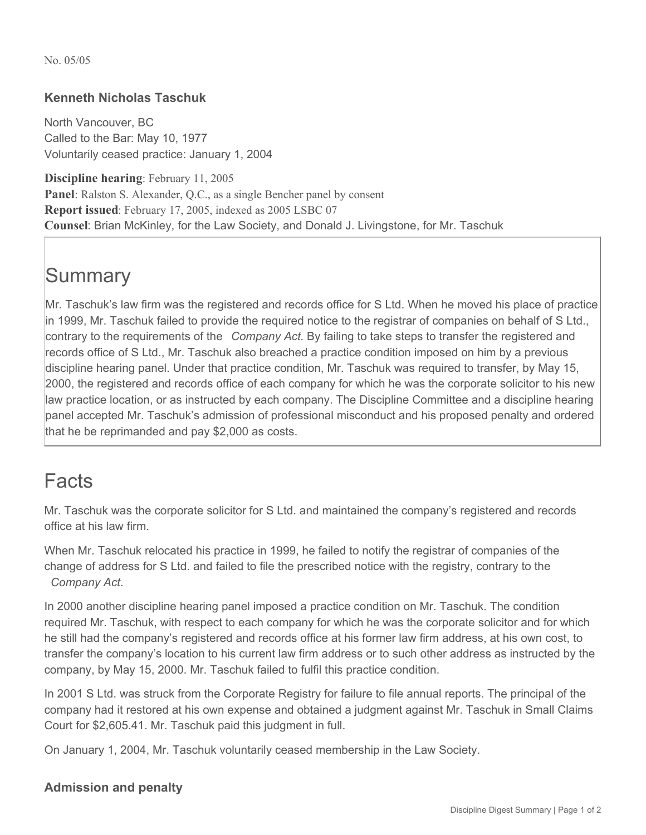No. 05/05

## **Kenneth Nicholas Taschuk**

North Vancouver, BC Called to the Bar: May 10, 1977 Voluntarily ceased practice: January 1, 2004

**Discipline hearing**: February 11, 2005 **Panel**: Ralston S. Alexander, Q.C., as a single Bencher panel by consent **Report issued**: February 17, 2005, indexed as 2005 LSBC 07 **Counsel**: Brian McKinley, for the Law Society, and Donald J. Livingstone, for Mr. Taschuk

## **Summary**

Mr. Taschuk's law firm was the registered and records office for S Ltd. When he moved his place of practice in 1999, Mr. Taschuk failed to provide the required notice to the registrar of companies on behalf of S Ltd., contrary to the requirements of the *Company Act.* By failing to take steps to transfer the registered and records office of S Ltd., Mr. Taschuk also breached a practice condition imposed on him by a previous discipline hearing panel. Under that practice condition, Mr. Taschuk was required to transfer, by May 15, 2000, the registered and records office of each company for which he was the corporate solicitor to his new law practice location, or as instructed by each company. The Discipline Committee and a discipline hearing panel accepted Mr. Taschuk's admission of professional misconduct and his proposed penalty and ordered that he be reprimanded and pay \$2,000 as costs.

## Facts

Mr. Taschuk was the corporate solicitor for S Ltd. and maintained the company's registered and records office at his law firm.

When Mr. Taschuk relocated his practice in 1999, he failed to notify the registrar of companies of the change of address for S Ltd. and failed to file the prescribed notice with the registry, contrary to the *Company Act*.

In 2000 another discipline hearing panel imposed a practice condition on Mr. Taschuk. The condition required Mr. Taschuk, with respect to each company for which he was the corporate solicitor and for which he still had the company's registered and records office at his former law firm address, at his own cost, to transfer the company's location to his current law firm address or to such other address as instructed by the company, by May 15, 2000. Mr. Taschuk failed to fulfil this practice condition.

In 2001 S Ltd. was struck from the Corporate Registry for failure to file annual reports. The principal of the company had it restored at his own expense and obtained a judgment against Mr. Taschuk in Small Claims Court for \$2,605.41. Mr. Taschuk paid this judgment in full.

On January 1, 2004, Mr. Taschuk voluntarily ceased membership in the Law Society.

## **Admission and penalty**